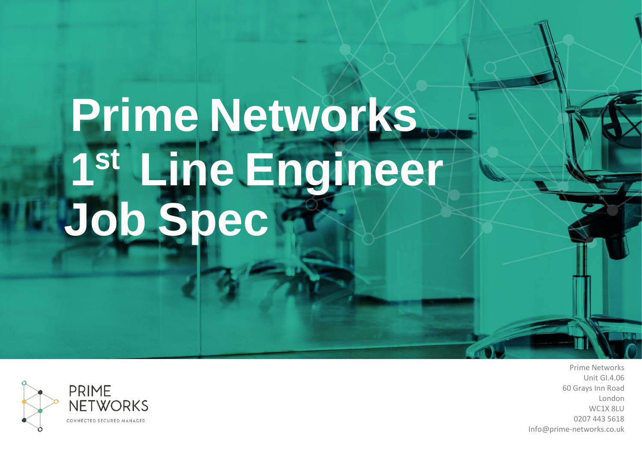# **Prime Networks 1 st Line Engineer Job Spec**



Prime Networks Unit GI.4.06 60 Grays Inn Road London WC1X 8LU 0207 443 5618 Info@prime-networks.co.uk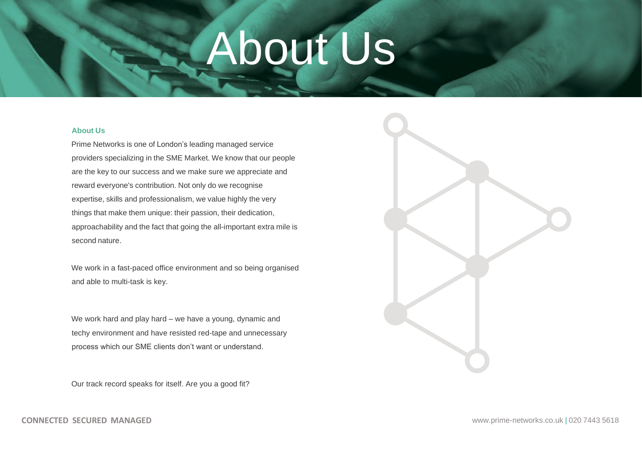### About Us

### **About Us**

Prime Networks is one of London's leading managed service providers specializing in the SME Market. We know that our people are the key to our success and we make sure we appreciate and reward everyone's contribution. Not only do we recognise expertise, skills and professionalism, we value highly the very things that make them unique: their passion, their dedication, approachability and the fact that going the all-important extra mile is second nature.

We work in a fast-paced office environment and so being organised and able to multi-task is key.

We work hard and play hard – we have a young, dynamic and techy environment and have resisted red-tape and unnecessary process which our SME clients don't want or understand.

Our track record speaks for itself. Are you a good fit?